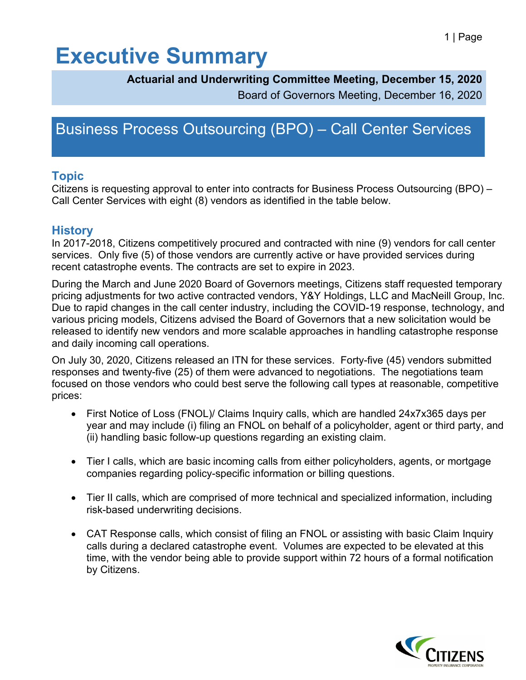## **Executive Summary**

#### **Actuarial and Underwriting Committee Meeting, December 15, 2020**

Board of Governors Meeting, December 16, 2020

### Business Process Outsourcing (BPO) – Call Center Services

### **Topic**

Citizens is requesting approval to enter into contracts for Business Process Outsourcing (BPO) – Call Center Services with eight (8) vendors as identified in the table below.

### **History**

In 2017-2018, Citizens competitively procured and contracted with nine (9) vendors for call center services. Only five (5) of those vendors are currently active or have provided services during recent catastrophe events. The contracts are set to expire in 2023.

During the March and June 2020 Board of Governors meetings, Citizens staff requested temporary pricing adjustments for two active contracted vendors, Y&Y Holdings, LLC and MacNeill Group, Inc. Due to rapid changes in the call center industry, including the COVID-19 response, technology, and various pricing models, Citizens advised the Board of Governors that a new solicitation would be released to identify new vendors and more scalable approaches in handling catastrophe response and daily incoming call operations.

On July 30, 2020, Citizens released an ITN for these services. Forty-five (45) vendors submitted responses and twenty-five (25) of them were advanced to negotiations. The negotiations team focused on those vendors who could best serve the following call types at reasonable, competitive prices:

- First Notice of Loss (FNOL)/ Claims Inquiry calls, which are handled 24x7x365 days per year and may include (i) filing an FNOL on behalf of a policyholder, agent or third party, and (ii) handling basic follow-up questions regarding an existing claim.
- Tier I calls, which are basic incoming calls from either policyholders, agents, or mortgage companies regarding policy-specific information or billing questions.
- Tier II calls, which are comprised of more technical and specialized information, including risk-based underwriting decisions.
- CAT Response calls, which consist of filing an FNOL or assisting with basic Claim Inquiry calls during a declared catastrophe event. Volumes are expected to be elevated at this time, with the vendor being able to provide support within 72 hours of a formal notification by Citizens.

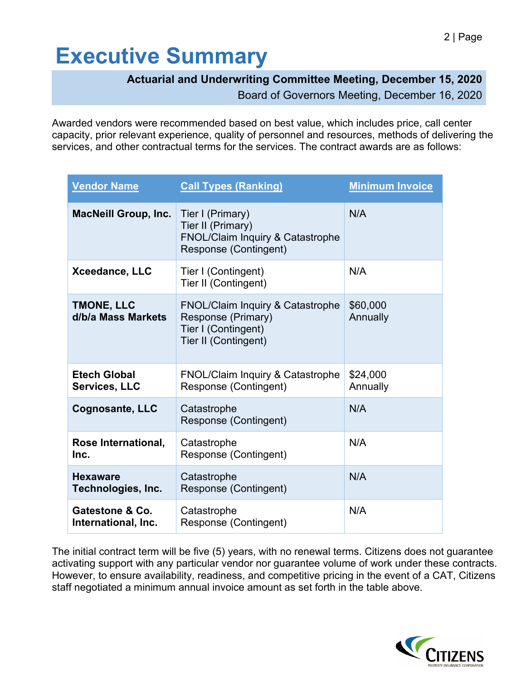# **Executive Summary**

### **Actuarial and Underwriting Committee Meeting, December 15, 2020**

Board of Governors Meeting, December 16, 2020

Awarded vendors were recommended based on best value, which includes price, call center capacity, prior relevant experience, quality of personnel and resources, methods of delivering the services, and other contractual terms for the services. The contract awards are as follows:

| <b>Vendor Name</b>                          | <b>Call Types (Ranking)</b>                                                                                      | <b>Minimum Invoice</b> |
|---------------------------------------------|------------------------------------------------------------------------------------------------------------------|------------------------|
| <b>MacNeill Group, Inc.</b>                 | Tier I (Primary)<br>Tier II (Primary)<br><b>FNOL/Claim Inquiry &amp; Catastrophe</b><br>Response (Contingent)    | N/A                    |
| Xceedance, LLC                              | Tier I (Contingent)<br>Tier II (Contingent)                                                                      | N/A                    |
| <b>TMONE, LLC</b><br>d/b/a Mass Markets     | <b>FNOL/Claim Inquiry &amp; Catastrophe</b><br>Response (Primary)<br>Tier I (Contingent)<br>Tier II (Contingent) | \$60,000<br>Annually   |
| <b>Etech Global</b><br><b>Services, LLC</b> | <b>FNOL/Claim Inquiry &amp; Catastrophe</b><br>Response (Contingent)                                             | \$24,000<br>Annually   |
| <b>Cognosante, LLC</b>                      | Catastrophe<br>Response (Contingent)                                                                             | N/A                    |
| Rose International,<br>Inc.                 | Catastrophe<br><b>Response (Contingent)</b>                                                                      | N/A                    |
| <b>Hexaware</b><br>Technologies, Inc.       | Catastrophe<br><b>Response (Contingent)</b>                                                                      | N/A                    |
| Gatestone & Co.<br>International, Inc.      | Catastrophe<br>Response (Contingent)                                                                             | N/A                    |

The initial contract term will be five (5) years, with no renewal terms. Citizens does not guarantee activating support with any particular vendor nor guarantee volume of work under these contracts. However, to ensure availability, readiness, and competitive pricing in the event of a CAT, Citizens staff negotiated a minimum annual invoice amount as set forth in the table above.

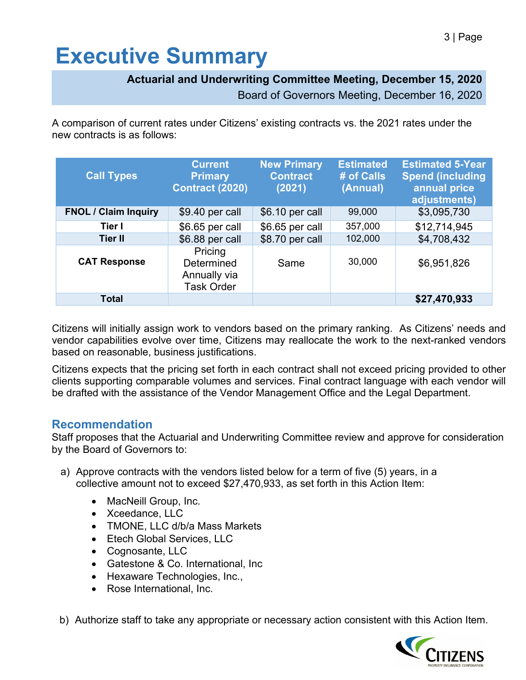# **Executive Summary**

#### **Actuarial and Underwriting Committee Meeting, December 15, 2020**

Board of Governors Meeting, December 16, 2020

A comparison of current rates under Citizens' existing contracts vs. the 2021 rates under the new contracts is as follows:

| <b>Call Types</b>           | <b>Current</b><br><b>Primary</b><br><b>Contract (2020)</b> | <b>New Primary</b><br><b>Contract</b><br>(2021) | <b>Estimated</b><br># of Calls<br>(Annual) | <b>Estimated 5-Year</b><br><b>Spend (including</b><br>annual price<br>adjustments) |
|-----------------------------|------------------------------------------------------------|-------------------------------------------------|--------------------------------------------|------------------------------------------------------------------------------------|
| <b>FNOL / Claim Inquiry</b> | $$9.40$ per call                                           | \$6.10 per call                                 | 99,000                                     | \$3,095,730                                                                        |
| Tier I                      | \$6.65 per call                                            | \$6.65 per call                                 | 357,000                                    | \$12,714,945                                                                       |
| <b>Tier II</b>              | \$6.88 per call                                            | \$8.70 per call                                 | 102,000                                    | \$4,708,432                                                                        |
| <b>CAT Response</b>         | Pricing<br>Determined<br>Annually via<br><b>Task Order</b> | Same                                            | 30,000                                     | \$6,951,826                                                                        |
| <b>Total</b>                |                                                            |                                                 |                                            | \$27,470,933                                                                       |

Citizens will initially assign work to vendors based on the primary ranking. As Citizens' needs and vendor capabilities evolve over time, Citizens may reallocate the work to the next-ranked vendors based on reasonable, business justifications.

Citizens expects that the pricing set forth in each contract shall not exceed pricing provided to other clients supporting comparable volumes and services. Final contract language with each vendor will be drafted with the assistance of the Vendor Management Office and the Legal Department.

#### **Recommendation**

Staff proposes that the Actuarial and Underwriting Committee review and approve for consideration by the Board of Governors to:

- a) Approve contracts with the vendors listed below for a term of five (5) years, in a collective amount not to exceed \$27,470,933, as set forth in this Action Item:
	- MacNeill Group, Inc.
	- Xceedance, LLC
	- TMONE, LLC d/b/a Mass Markets
	- Etech Global Services, LLC
	- Cognosante, LLC
	- Gatestone & Co. International, Inc
	- Hexaware Technologies, Inc.,
	- Rose International, Inc.

b) Authorize staff to take any appropriate or necessary action consistent with this Action Item.

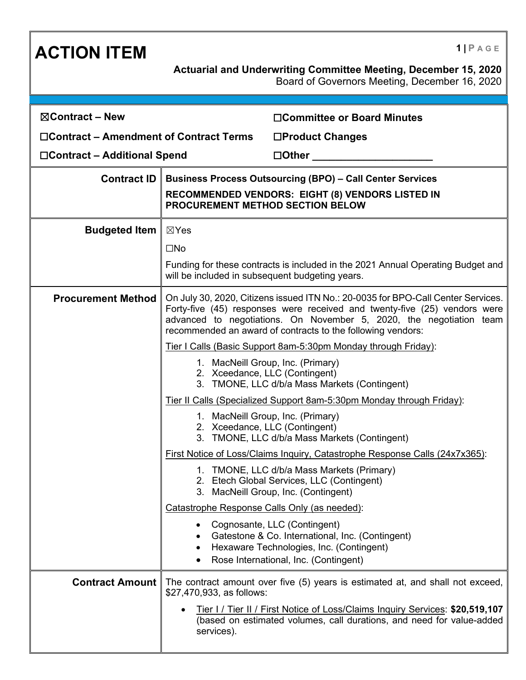| <b>ACTION ITEM</b>                      |                                                                                                                                                                                                                                                                                                     | $1$   PAGE                                                                                                                                                            |  |
|-----------------------------------------|-----------------------------------------------------------------------------------------------------------------------------------------------------------------------------------------------------------------------------------------------------------------------------------------------------|-----------------------------------------------------------------------------------------------------------------------------------------------------------------------|--|
|                                         |                                                                                                                                                                                                                                                                                                     | <b>Actuarial and Underwriting Committee Meeting, December 15, 2020</b><br>Board of Governors Meeting, December 16, 2020                                               |  |
|                                         |                                                                                                                                                                                                                                                                                                     |                                                                                                                                                                       |  |
| $\boxtimes$ Contract – New              |                                                                                                                                                                                                                                                                                                     | □Committee or Board Minutes                                                                                                                                           |  |
| □Contract – Amendment of Contract Terms |                                                                                                                                                                                                                                                                                                     | □Product Changes                                                                                                                                                      |  |
| □Contract – Additional Spend            |                                                                                                                                                                                                                                                                                                     | $\square$ Other                                                                                                                                                       |  |
| <b>Contract ID</b>                      | <b>Business Process Outsourcing (BPO) - Call Center Services</b>                                                                                                                                                                                                                                    |                                                                                                                                                                       |  |
|                                         |                                                                                                                                                                                                                                                                                                     | RECOMMENDED VENDORS: EIGHT (8) VENDORS LISTED IN<br>PROCUREMENT METHOD SECTION BELOW                                                                                  |  |
| <b>Budgeted Item</b>                    | $\boxtimes$ Yes                                                                                                                                                                                                                                                                                     |                                                                                                                                                                       |  |
|                                         | $\square$ No                                                                                                                                                                                                                                                                                        |                                                                                                                                                                       |  |
|                                         | will be included in subsequent budgeting years.                                                                                                                                                                                                                                                     | Funding for these contracts is included in the 2021 Annual Operating Budget and                                                                                       |  |
| <b>Procurement Method</b>               | On July 30, 2020, Citizens issued ITN No.: 20-0035 for BPO-Call Center Services.<br>Forty-five (45) responses were received and twenty-five (25) vendors were<br>advanced to negotiations. On November 5, 2020, the negotiation team<br>recommended an award of contracts to the following vendors: |                                                                                                                                                                       |  |
|                                         | Tier I Calls (Basic Support 8am-5:30pm Monday through Friday):                                                                                                                                                                                                                                      |                                                                                                                                                                       |  |
|                                         | 1. MacNeill Group, Inc. (Primary)<br>2. Xceedance, LLC (Contingent)<br>3. TMONE, LLC d/b/a Mass Markets (Contingent)                                                                                                                                                                                |                                                                                                                                                                       |  |
|                                         | Tier II Calls (Specialized Support 8am-5:30pm Monday through Friday):                                                                                                                                                                                                                               |                                                                                                                                                                       |  |
|                                         |                                                                                                                                                                                                                                                                                                     | 1. MacNeill Group, Inc. (Primary)<br>2. Xceedance, LLC (Contingent)<br>3. TMONE, LLC d/b/a Mass Markets (Contingent)                                                  |  |
|                                         |                                                                                                                                                                                                                                                                                                     | First Notice of Loss/Claims Inquiry, Catastrophe Response Calls (24x7x365):                                                                                           |  |
|                                         |                                                                                                                                                                                                                                                                                                     | 1. TMONE, LLC d/b/a Mass Markets (Primary)<br>2. Etech Global Services, LLC (Contingent)<br>3. MacNeill Group, Inc. (Contingent)                                      |  |
|                                         | Catastrophe Response Calls Only (as needed):                                                                                                                                                                                                                                                        |                                                                                                                                                                       |  |
|                                         | ٠<br>$\bullet$<br>$\bullet$                                                                                                                                                                                                                                                                         | Cognosante, LLC (Contingent)<br>Gatestone & Co. International, Inc. (Contingent)<br>Hexaware Technologies, Inc. (Contingent)<br>Rose International, Inc. (Contingent) |  |
| <b>Contract Amount</b>                  | \$27,470,933, as follows:                                                                                                                                                                                                                                                                           | The contract amount over five (5) years is estimated at, and shall not exceed,                                                                                        |  |
|                                         | services).                                                                                                                                                                                                                                                                                          | Tier I / Tier II / First Notice of Loss/Claims Inquiry Services: \$20,519,107<br>(based on estimated volumes, call durations, and need for value-added                |  |